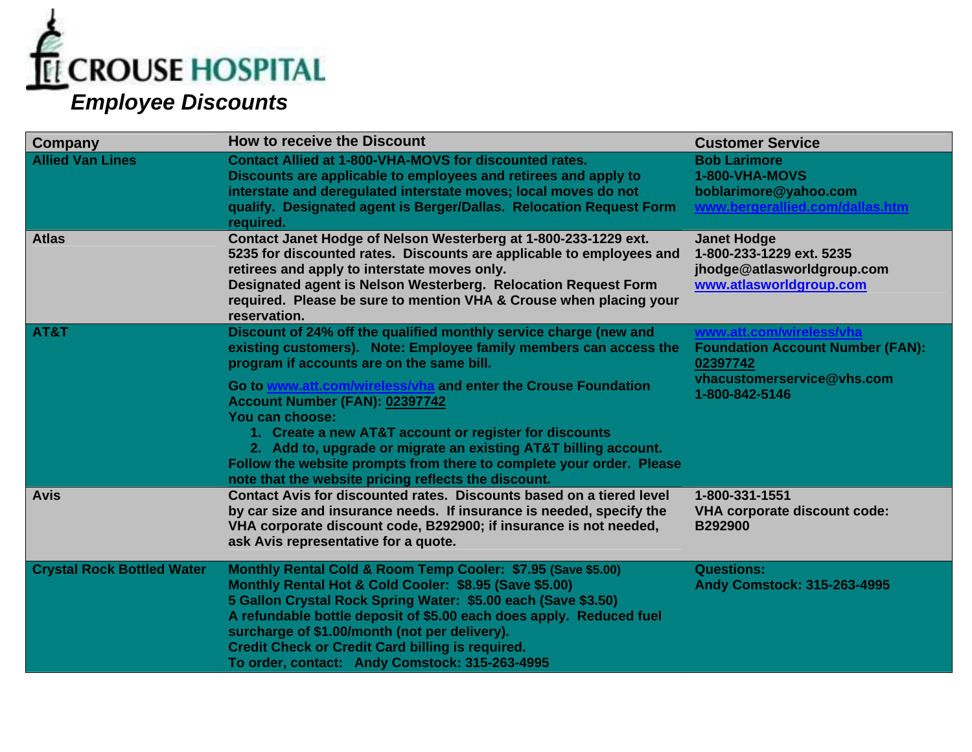

| <b>Company</b>                    | <b>How to receive the Discount</b>                                                                                                                                                                                                                                                                                                                                                                                           | <b>Customer Service</b>                                                                                 |
|-----------------------------------|------------------------------------------------------------------------------------------------------------------------------------------------------------------------------------------------------------------------------------------------------------------------------------------------------------------------------------------------------------------------------------------------------------------------------|---------------------------------------------------------------------------------------------------------|
| <b>Allied Van Lines</b>           | <b>Contact Allied at 1-800-VHA-MOVS for discounted rates.</b><br>Discounts are applicable to employees and retirees and apply to<br>interstate and deregulated interstate moves; local moves do not<br>qualify. Designated agent is Berger/Dallas. Relocation Request Form<br>required.                                                                                                                                      | <b>Bob Larimore</b><br>1-800-VHA-MOVS<br>boblarimore@yahoo.com                                          |
| <b>Atlas</b>                      | Contact Janet Hodge of Nelson Westerberg at 1-800-233-1229 ext.<br>5235 for discounted rates. Discounts are applicable to employees and<br>retirees and apply to interstate moves only.<br>Designated agent is Nelson Westerberg. Relocation Request Form<br>required. Please be sure to mention VHA & Crouse when placing your<br>reservation.                                                                              | <b>Janet Hodge</b><br>1-800-233-1229 ext. 5235<br>jhodge@atlasworldgroup.com<br>www.atlasworldgroup.com |
| AT&T                              | Discount of 24% off the qualified monthly service charge (new and<br>existing customers). Note: Employee family members can access the<br>program if accounts are on the same bill.                                                                                                                                                                                                                                          | www.att.com/wireless/vh<br><b>Foundation Account Number (FAN):</b><br>02397742                          |
|                                   | Go to www.att.com/wireless/vha and enter the Crouse Foundation<br>Account Number (FAN): 02397742<br>You can choose:<br>1. Create a new AT&T account or register for discounts<br>2. Add to, upgrade or migrate an existing AT&T billing account.<br>Follow the website prompts from there to complete your order. Please<br>note that the website pricing reflects the discount.                                             | vhacustomerservice@vhs.com<br>1-800-842-5146                                                            |
| <b>Avis</b>                       | Contact Avis for discounted rates. Discounts based on a tiered level<br>by car size and insurance needs. If insurance is needed, specify the<br>VHA corporate discount code, B292900; if insurance is not needed,<br>ask Avis representative for a quote.                                                                                                                                                                    | 1-800-331-1551<br><b>VHA corporate discount code:</b><br>B292900                                        |
| <b>Crystal Rock Bottled Water</b> | Monthly Rental Cold & Room Temp Cooler: \$7.95 (Save \$5.00)<br>Monthly Rental Hot & Cold Cooler: \$8.95 (Save \$5.00)<br>5 Gallon Crystal Rock Spring Water: \$5.00 each (Save \$3.50)<br>A refundable bottle deposit of \$5.00 each does apply. Reduced fuel<br>surcharge of \$1.00/month (not per delivery).<br><b>Credit Check or Credit Card billing is required.</b><br>To order, contact: Andy Comstock: 315-263-4995 | <b>Questions:</b><br><b>Andy Comstock: 315-263-4995</b>                                                 |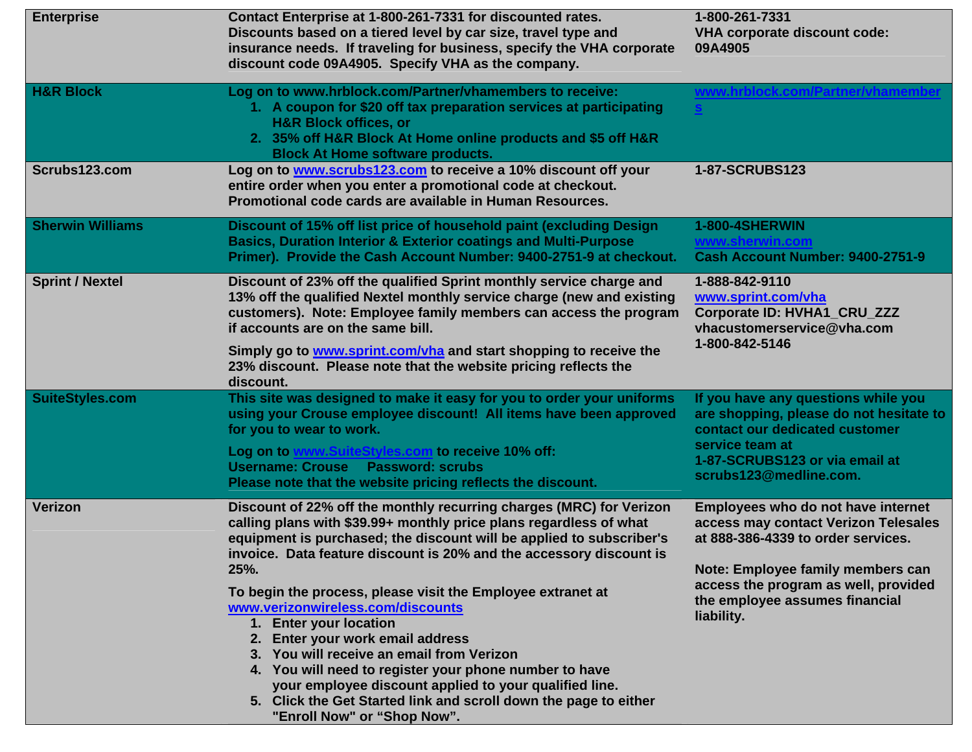| <b>Enterprise</b>       | Contact Enterprise at 1-800-261-7331 for discounted rates.<br>Discounts based on a tiered level by car size, travel type and<br>insurance needs. If traveling for business, specify the VHA corporate<br>discount code 09A4905. Specify VHA as the company.                                                                                                                                                                                                                                                                                                                                                                                                                                                                            | 1-800-261-7331<br><b>VHA corporate discount code:</b><br>09A4905                                                                                                                                                                              |
|-------------------------|----------------------------------------------------------------------------------------------------------------------------------------------------------------------------------------------------------------------------------------------------------------------------------------------------------------------------------------------------------------------------------------------------------------------------------------------------------------------------------------------------------------------------------------------------------------------------------------------------------------------------------------------------------------------------------------------------------------------------------------|-----------------------------------------------------------------------------------------------------------------------------------------------------------------------------------------------------------------------------------------------|
| <b>H&amp;R Block</b>    | Log on to www.hrblock.com/Partner/vhamembers to receive:<br>1. A coupon for \$20 off tax preparation services at participating<br><b>H&amp;R Block offices, or</b><br>2. 35% off H&R Block At Home online products and \$5 off H&R<br><b>Block At Home software products.</b>                                                                                                                                                                                                                                                                                                                                                                                                                                                          | www.hrblock.com/Partner/vhamem                                                                                                                                                                                                                |
| Scrubs123.com           | Log on to <b>www.scrubs123.com</b> to receive a 10% discount off your<br>entire order when you enter a promotional code at checkout.<br>Promotional code cards are available in Human Resources.                                                                                                                                                                                                                                                                                                                                                                                                                                                                                                                                       | <b>1-87-SCRUBS123</b>                                                                                                                                                                                                                         |
| <b>Sherwin Williams</b> | Discount of 15% off list price of household paint (excluding Design<br><b>Basics, Duration Interior &amp; Exterior coatings and Multi-Purpose</b><br>Primer). Provide the Cash Account Number: 9400-2751-9 at checkout.                                                                                                                                                                                                                                                                                                                                                                                                                                                                                                                | 1-800-4SHERWIN<br>Cash Account Number: 9400-2751-9                                                                                                                                                                                            |
| <b>Sprint / Nextel</b>  | Discount of 23% off the qualified Sprint monthly service charge and<br>13% off the qualified Nextel monthly service charge (new and existing<br>customers). Note: Employee family members can access the program<br>if accounts are on the same bill.                                                                                                                                                                                                                                                                                                                                                                                                                                                                                  | 1-888-842-9110<br>www.sprint.com/vha<br>Corporate ID: HVHA1_CRU_ZZZ<br>vhacustomerservice@vha.com<br>1-800-842-5146                                                                                                                           |
|                         | Simply go to www.sprint.com/vha and start shopping to receive the<br>23% discount. Please note that the website pricing reflects the<br>discount.                                                                                                                                                                                                                                                                                                                                                                                                                                                                                                                                                                                      |                                                                                                                                                                                                                                               |
| <b>SuiteStyles.com</b>  | This site was designed to make it easy for you to order your uniforms<br>using your Crouse employee discount! All items have been approved<br>for you to wear to work.                                                                                                                                                                                                                                                                                                                                                                                                                                                                                                                                                                 | If you have any questions while you<br>are shopping, please do not hesitate to<br>contact our dedicated customer<br>service team at<br>1-87-SCRUBS123 or via email at<br>scrubs123@medline.com.                                               |
|                         | Log on to www.SuiteStyles.com to receive 10% off:<br><b>Username: Crouse</b><br><b>Password: scrubs</b><br>Please note that the website pricing reflects the discount.                                                                                                                                                                                                                                                                                                                                                                                                                                                                                                                                                                 |                                                                                                                                                                                                                                               |
| <b>Verizon</b>          | Discount of 22% off the monthly recurring charges (MRC) for Verizon<br>calling plans with \$39.99+ monthly price plans regardless of what<br>equipment is purchased; the discount will be applied to subscriber's<br>invoice. Data feature discount is 20% and the accessory discount is<br>25%.<br>To begin the process, please visit the Employee extranet at<br>www.verizonwireless.com/discounts<br>1. Enter your location<br>2. Enter your work email address<br>3. You will receive an email from Verizon<br>4. You will need to register your phone number to have<br>your employee discount applied to your qualified line.<br>5. Click the Get Started link and scroll down the page to either<br>"Enroll Now" or "Shop Now". | Employees who do not have internet<br>access may contact Verizon Telesales<br>at 888-386-4339 to order services.<br>Note: Employee family members can<br>access the program as well, provided<br>the employee assumes financial<br>liability. |